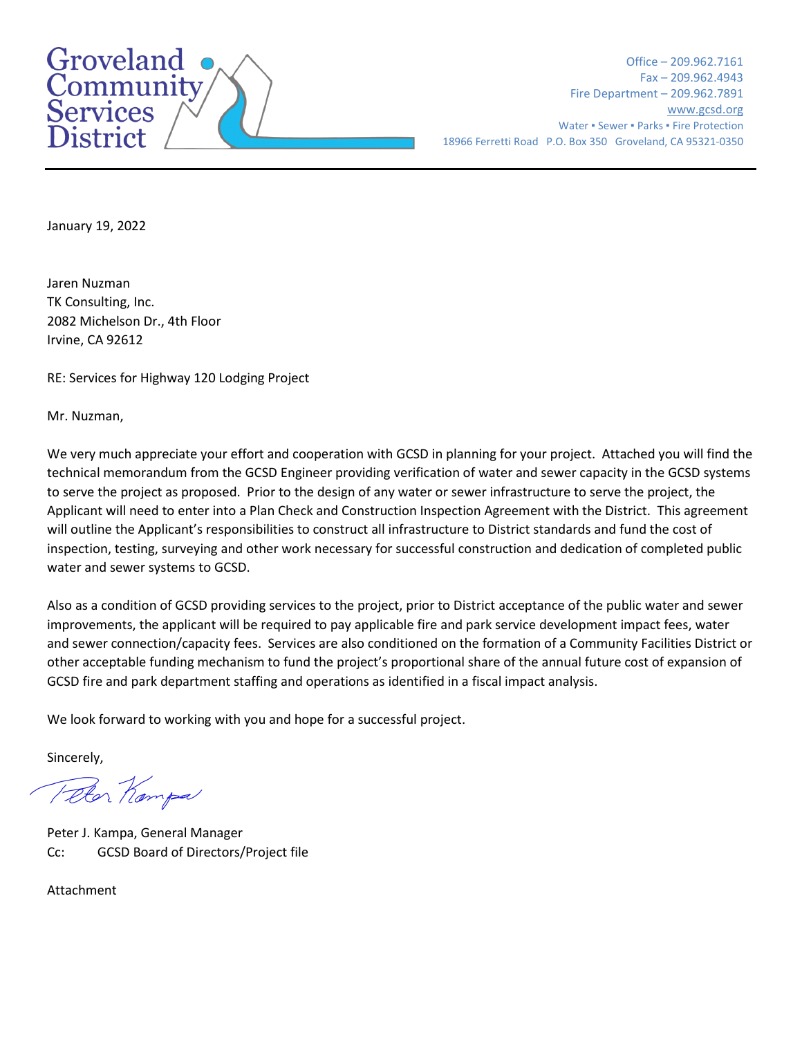

Office – 209.962.7161 Fax – 209.962.4943 Fire Department – 209.962.7891 [www.gcsd.org](http://www.gcsd.org/) Water • Sewer • Parks • Fire Protection 18966 Ferretti Road P.O. Box 350 Groveland, CA 95321-0350

January 19, 2022

Jaren Nuzman TK Consulting, Inc. 2082 Michelson Dr., 4th Floor Irvine, CA 92612

RE: Services for Highway 120 Lodging Project

Mr. Nuzman,

We very much appreciate your effort and cooperation with GCSD in planning for your project. Attached you will find the technical memorandum from the GCSD Engineer providing verification of water and sewer capacity in the GCSD systems to serve the project as proposed. Prior to the design of any water or sewer infrastructure to serve the project, the Applicant will need to enter into a Plan Check and Construction Inspection Agreement with the District. This agreement will outline the Applicant's responsibilities to construct all infrastructure to District standards and fund the cost of inspection, testing, surveying and other work necessary for successful construction and dedication of completed public water and sewer systems to GCSD.

Also as a condition of GCSD providing services to the project, prior to District acceptance of the public water and sewer improvements, the applicant will be required to pay applicable fire and park service development impact fees, water and sewer connection/capacity fees. Services are also conditioned on the formation of a Community Facilities District or other acceptable funding mechanism to fund the project's proportional share of the annual future cost of expansion of GCSD fire and park department staffing and operations as identified in a fiscal impact analysis.

We look forward to working with you and hope for a successful project.

Sincerely,

Telor Kampa

Peter J. Kampa, General Manager Cc: GCSD Board of Directors/Project file

Attachment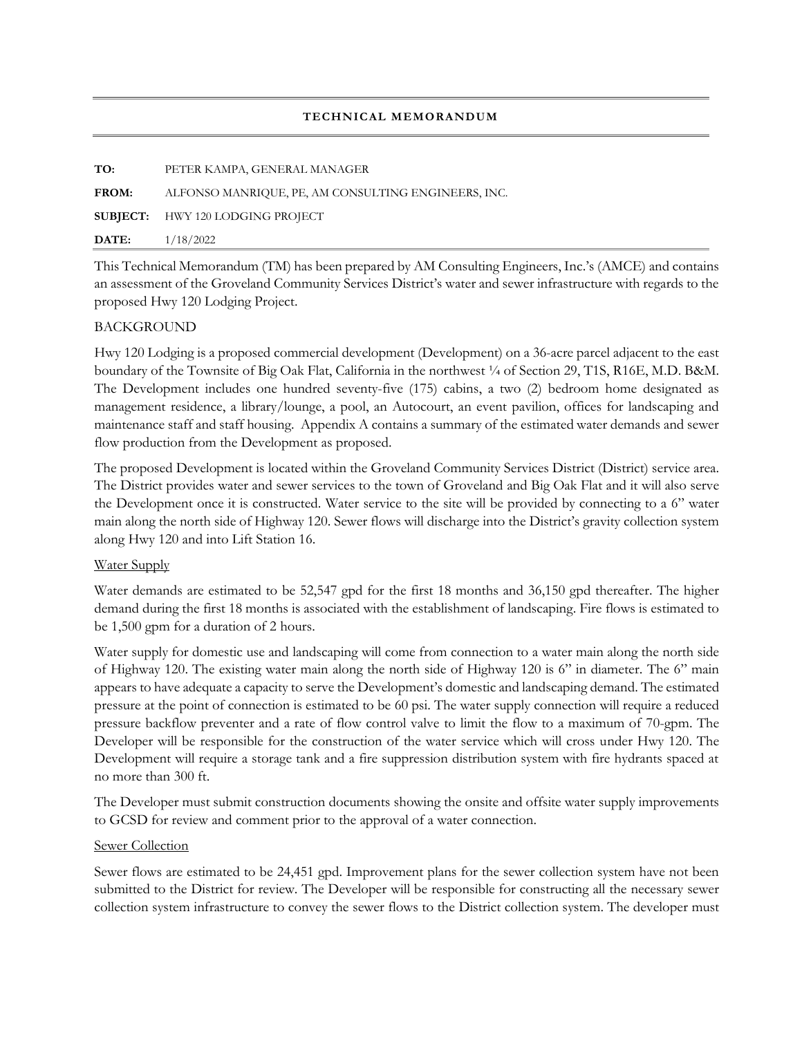#### **TECHNICAL MEMORANDUM**

| TO:<br>PETER KAMPA, GENERAL MANAGER<br>ALFONSO MANRIOUE, PE, AM CONSULTING ENGINEERS, INC.<br><b>FROM:</b><br><b>SUBJECT:</b> HWY 120 LODGING PROJECT<br>1/18/2022<br>DATE: |  |
|-----------------------------------------------------------------------------------------------------------------------------------------------------------------------------|--|
|                                                                                                                                                                             |  |
|                                                                                                                                                                             |  |
|                                                                                                                                                                             |  |
|                                                                                                                                                                             |  |

This Technical Memorandum (TM) has been prepared by AM Consulting Engineers, Inc.'s (AMCE) and contains an assessment of the Groveland Community Services District's water and sewer infrastructure with regards to the proposed Hwy 120 Lodging Project.

# BACKGROUND

Hwy 120 Lodging is a proposed commercial development (Development) on a 36-acre parcel adjacent to the east boundary of the Townsite of Big Oak Flat, California in the northwest  $\frac{1}{4}$  of Section 29, T1S, R16E, M.D. B&M. The Development includes one hundred seventy-five (175) cabins, a two (2) bedroom home designated as management residence, a library/lounge, a pool, an Autocourt, an event pavilion, offices for landscaping and maintenance staff and staff housing. Appendix A contains a summary of the estimated water demands and sewer flow production from the Development as proposed.

The proposed Development is located within the Groveland Community Services District (District) service area. The District provides water and sewer services to the town of Groveland and Big Oak Flat and it will also serve the Development once it is constructed. Water service to the site will be provided by connecting to a 6" water main along the north side of Highway 120. Sewer flows will discharge into the District's gravity collection system along Hwy 120 and into Lift Station 16.

# Water Supply

Water demands are estimated to be 52,547 gpd for the first 18 months and 36,150 gpd thereafter. The higher demand during the first 18 months is associated with the establishment of landscaping. Fire flows is estimated to be 1,500 gpm for a duration of 2 hours.

Water supply for domestic use and landscaping will come from connection to a water main along the north side of Highway 120. The existing water main along the north side of Highway 120 is 6" in diameter. The 6" main appears to have adequate a capacity to serve the Development's domestic and landscaping demand. The estimated pressure at the point of connection is estimated to be 60 psi. The water supply connection will require a reduced pressure backflow preventer and a rate of flow control valve to limit the flow to a maximum of 70-gpm. The Developer will be responsible for the construction of the water service which will cross under Hwy 120. The Development will require a storage tank and a fire suppression distribution system with fire hydrants spaced at no more than 300 ft.

The Developer must submit construction documents showing the onsite and offsite water supply improvements to GCSD for review and comment prior to the approval of a water connection.

# Sewer Collection

Sewer flows are estimated to be 24,451 gpd. Improvement plans for the sewer collection system have not been submitted to the District for review. The Developer will be responsible for constructing all the necessary sewer collection system infrastructure to convey the sewer flows to the District collection system. The developer must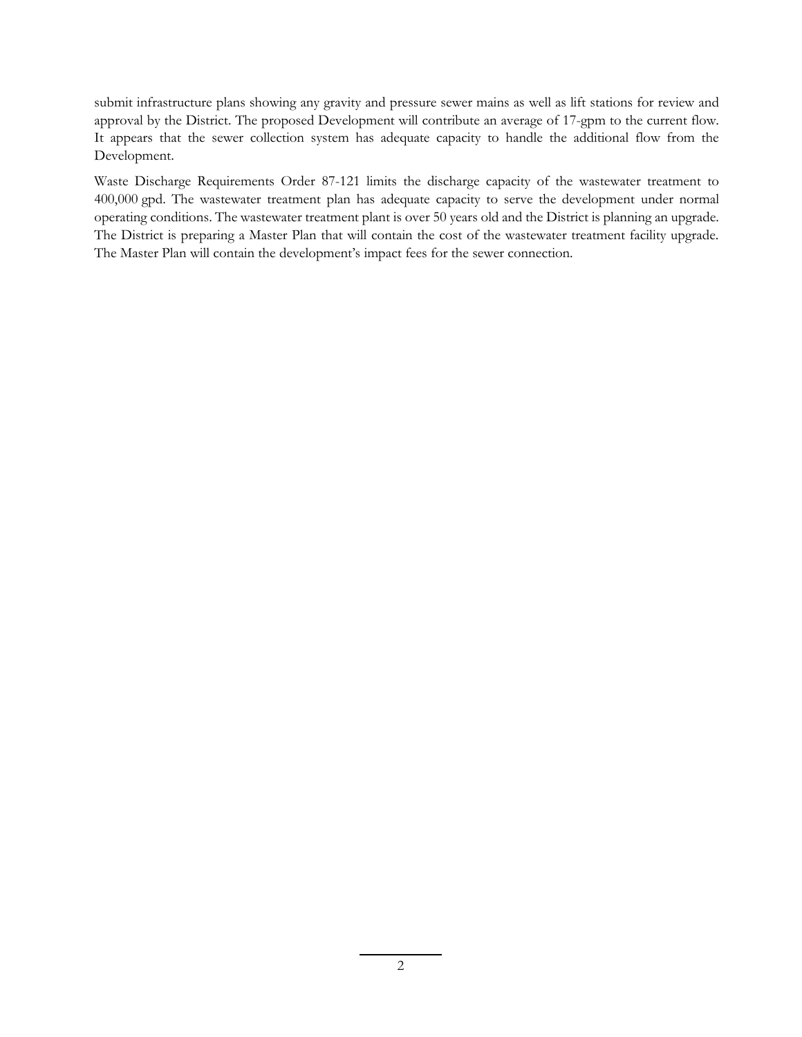submit infrastructure plans showing any gravity and pressure sewer mains as well as lift stations for review and approval by the District. The proposed Development will contribute an average of 17-gpm to the current flow. It appears that the sewer collection system has adequate capacity to handle the additional flow from the Development.

Waste Discharge Requirements Order 87-121 limits the discharge capacity of the wastewater treatment to 400,000 gpd. The wastewater treatment plan has adequate capacity to serve the development under normal operating conditions. The wastewater treatment plant is over 50 years old and the District is planning an upgrade. The District is preparing a Master Plan that will contain the cost of the wastewater treatment facility upgrade. The Master Plan will contain the development's impact fees for the sewer connection.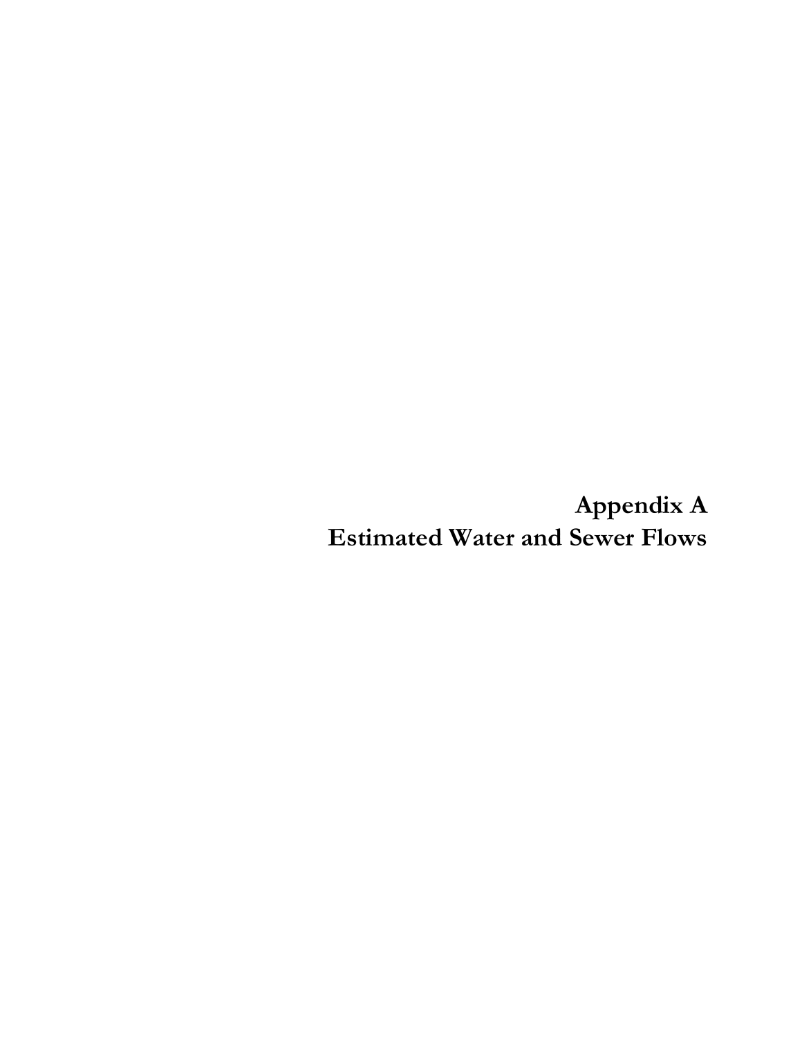**Appendix A Estimated Water and Sewer Flows**